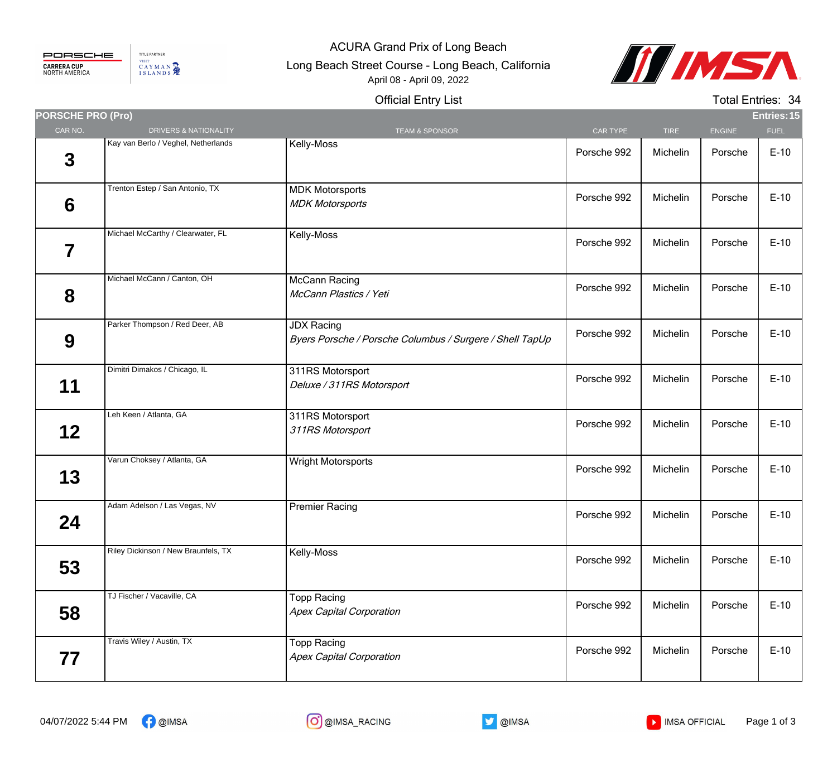## PORSCHE **CARRERA CUP**<br>NORTH AMERICA

TITLE PARTNER VISIT CAYMAN

## ACURA Grand Prix of Long Beach

Long Beach Street Course - Long Beach, California April 08 - April 09, 2022



## Official Entry List

Total Entries: 34

| <b>PORSCHE PRO (Pro)</b> |                                     |                                                                               |             |             |               | <b>Entries: 15</b> |
|--------------------------|-------------------------------------|-------------------------------------------------------------------------------|-------------|-------------|---------------|--------------------|
| CAR NO.                  | DRIVERS & NATIONALITY               | <b>TEAM &amp; SPONSOR</b>                                                     | CAR TYPE    | <b>TIRE</b> | <b>ENGINE</b> | <b>FUEL</b>        |
| $\mathbf 3$              | Kay van Berlo / Veghel, Netherlands | Kelly-Moss                                                                    | Porsche 992 | Michelin    | Porsche       | $E-10$             |
| 6                        | Trenton Estep / San Antonio, TX     | <b>MDK Motorsports</b><br><b>MDK Motorsports</b>                              | Porsche 992 | Michelin    | Porsche       | $E-10$             |
| 7                        | Michael McCarthy / Clearwater, FL   | Kelly-Moss                                                                    | Porsche 992 | Michelin    | Porsche       | $E-10$             |
| 8                        | Michael McCann / Canton, OH         | <b>McCann Racing</b><br>McCann Plastics / Yeti                                | Porsche 992 | Michelin    | Porsche       | $E-10$             |
| 9                        | Parker Thompson / Red Deer, AB      | <b>JDX Racing</b><br>Byers Porsche / Porsche Columbus / Surgere / Shell TapUp | Porsche 992 | Michelin    | Porsche       | $E-10$             |
| 11                       | Dimitri Dimakos / Chicago, IL       | 311RS Motorsport<br>Deluxe / 311RS Motorsport                                 | Porsche 992 | Michelin    | Porsche       | $E-10$             |
| 12                       | Leh Keen / Atlanta, GA              | 311RS Motorsport<br>311RS Motorsport                                          | Porsche 992 | Michelin    | Porsche       | $E-10$             |
| 13                       | Varun Choksey / Atlanta, GA         | Wright Motorsports                                                            | Porsche 992 | Michelin    | Porsche       | $E-10$             |
| 24                       | Adam Adelson / Las Vegas, NV        | <b>Premier Racing</b>                                                         | Porsche 992 | Michelin    | Porsche       | $E-10$             |
| 53                       | Riley Dickinson / New Braunfels, TX | Kelly-Moss                                                                    | Porsche 992 | Michelin    | Porsche       | $E-10$             |
| 58                       | TJ Fischer / Vacaville, CA          | <b>Topp Racing</b><br><b>Apex Capital Corporation</b>                         | Porsche 992 | Michelin    | Porsche       | $E-10$             |
| 77                       | Travis Wiley / Austin, TX           | <b>Topp Racing</b><br><b>Apex Capital Corporation</b>                         | Porsche 992 | Michelin    | Porsche       | $E-10$             |



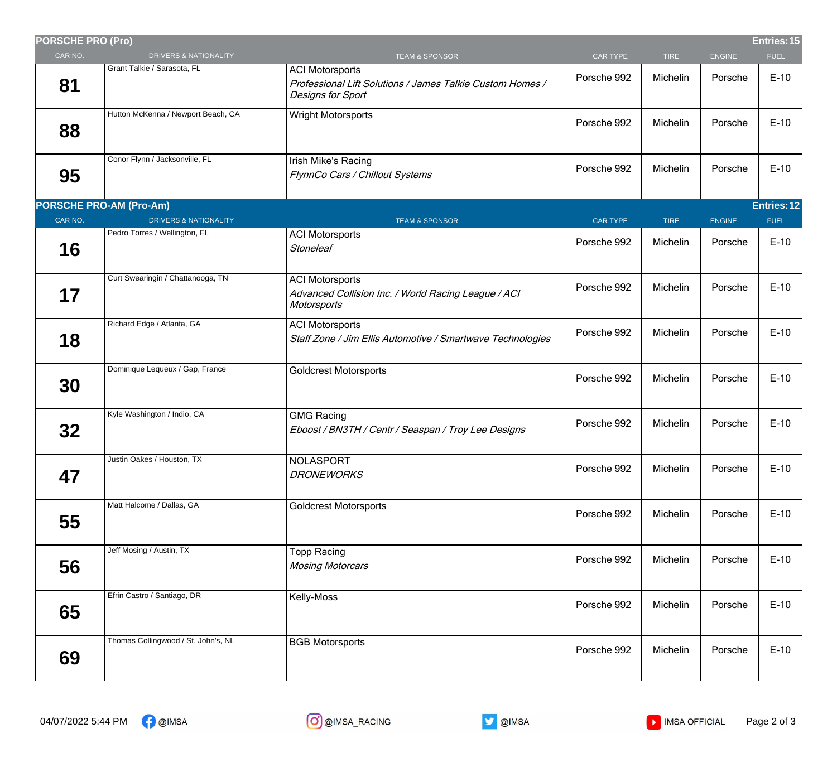| <b>PORSCHE PRO (Pro)</b> |                                     |                                                                                                          |                 |             |               | Entries: 15 |
|--------------------------|-------------------------------------|----------------------------------------------------------------------------------------------------------|-----------------|-------------|---------------|-------------|
| CAR NO.                  | DRIVERS & NATIONALITY               | <b>TEAM &amp; SPONSOR</b>                                                                                | <b>CAR TYPE</b> | <b>TIRE</b> | <b>ENGINE</b> | <b>FUEL</b> |
| 81                       | Grant Talkie / Sarasota, FL         | <b>ACI Motorsports</b><br>Professional Lift Solutions / James Talkie Custom Homes /<br>Designs for Sport | Porsche 992     | Michelin    | Porsche       | $E-10$      |
| 88                       | Hutton McKenna / Newport Beach, CA  | Wright Motorsports                                                                                       | Porsche 992     | Michelin    | Porsche       | $E-10$      |
| 95                       | Conor Flynn / Jacksonville, FL      | Irish Mike's Racing<br>FlynnCo Cars / Chillout Systems                                                   | Porsche 992     | Michelin    | Porsche       | $E-10$      |
|                          | <b>PORSCHE PRO-AM (Pro-Am)</b>      |                                                                                                          |                 |             |               | Entries: 12 |
| CAR NO.                  | <b>DRIVERS &amp; NATIONALITY</b>    | <b>TEAM &amp; SPONSOR</b>                                                                                | <b>CAR TYPE</b> | <b>TIRE</b> | <b>ENGINE</b> | <b>FUEL</b> |
| 16                       | Pedro Torres / Wellington, FL       | <b>ACI Motorsports</b><br><b>Stoneleaf</b>                                                               | Porsche 992     | Michelin    | Porsche       | $E-10$      |
| 17                       | Curt Swearingin / Chattanooga, TN   | <b>ACI Motorsports</b><br>Advanced Collision Inc. / World Racing League / ACI<br>Motorsports             | Porsche 992     | Michelin    | Porsche       | $E-10$      |
| 18                       | Richard Edge / Atlanta, GA          | <b>ACI Motorsports</b><br>Staff Zone / Jim Ellis Automotive / Smartwave Technologies                     | Porsche 992     | Michelin    | Porsche       | $E-10$      |
| 30                       | Dominique Lequeux / Gap, France     | <b>Goldcrest Motorsports</b>                                                                             | Porsche 992     | Michelin    | Porsche       | $E-10$      |
| 32 <sub>2</sub>          | Kyle Washington / Indio, CA         | <b>GMG Racing</b><br>Eboost / BN3TH / Centr / Seaspan / Troy Lee Designs                                 | Porsche 992     | Michelin    | Porsche       | $E-10$      |
| 47                       | Justin Oakes / Houston, TX          | <b>NOLASPORT</b><br><b>DRONEWORKS</b>                                                                    | Porsche 992     | Michelin    | Porsche       | $E-10$      |
| 55                       | Matt Halcome / Dallas, GA           | <b>Goldcrest Motorsports</b>                                                                             | Porsche 992     | Michelin    | Porsche       | $E-10$      |
| 56                       | Jeff Mosing / Austin, TX            | <b>Topp Racing</b><br><b>Mosing Motorcars</b>                                                            | Porsche 992     | Michelin    | Porsche       | $E-10$      |
| 65                       | Efrin Castro / Santiago, DR         | Kelly-Moss                                                                                               | Porsche 992     | Michelin    | Porsche       | $E-10$      |
| 69                       | Thomas Collingwood / St. John's, NL | <b>BGB Motorsports</b>                                                                                   | Porsche 992     | Michelin    | Porsche       | $E-10$      |
|                          |                                     |                                                                                                          |                 |             |               |             |